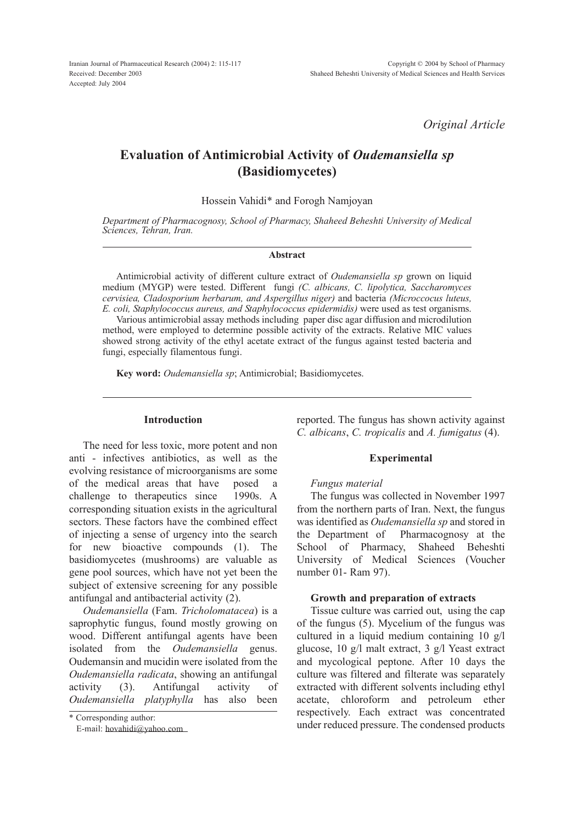Iranian Journal of Pharmaceutical Research (2004) 2: 115-117 Received: December 2003 Accepted: July 2004

*Original Article*

# Evaluation of Antimicrobial Activity of *Oudemansiella sp* (Basidiomycetes)

Hossein Vahidi\* and Forogh Namjoyan

*Department of Pharmacognosy, School of Pharmacy, Shaheed Beheshti University of Medical Sciences, Tehran, Iran.*

#### Abstract

Antimicrobial activity of different culture extract of *Oudemansiella sp* grown on liquid medium (MYGP) were tested. Different fungi *(C. albicans, C. lipolytica, Saccharomyces cervisiea, Cladosporium herbarum, and Aspergillus niger)* and bacteria *(Microccocus luteus, E. coli, Staphylococcus aureus, and Staphylococcus epidermidis)* were used as test organisms.

Various antimicrobial assay methods including paper disc agar diffusion and microdilution method, were employed to determine possible activity of the extracts. Relative MIC values showed strong activity of the ethyl acetate extract of the fungus against tested bacteria and fungi, especially filamentous fungi.

Key word: *Oudemansiella sp*; Antimicrobial; Basidiomycetes.

### Introduction

The need for less toxic, more potent and non anti - infectives antibiotics, as well as the evolving resistance of microorganisms are some of the medical areas that have posed a challenge to therapeutics since 1990s. A corresponding situation exists in the agricultural sectors. These factors have the combined effect of injecting a sense of urgency into the search for new bioactive compounds (1). The basidiomycetes (mushrooms) are valuable as gene pool sources, which have not yet been the subject of extensive screening for any possible antifungal and antibacterial activity (2).

*Oudemansiella* (Fam. *Tricholomatacea*) is a saprophytic fungus, found mostly growing on wood. Different antifungal agents have been isolated from the *Oudemansiella* genus. Oudemansin and mucidin were isolated from the *Oudemansiella radicata*, showing an antifungal activity (3). Antifungal activity of *Oudemansiella platyphylla* has also been

E-mail: [hovahidi@yahoo.com](mailto:hovahidi@yahoo.com)

reported. The fungus has shown activity against *C. albicans*, *C. tropicalis* and *A. fumigatus* (4).

## Experimental

#### *Fungus material*

The fungus was collected in November 1997 from the northern parts of Iran. Next, the fungus was identified as *Oudemansiella sp* and stored in the Department of Pharmacognosy at the School of Pharmacy, Shaheed Beheshti University of Medical Sciences (Voucher number 01- Ram 97).

#### Growth and preparation of extracts

Tissue culture was carried out, using the cap of the fungus (5). Mycelium of the fungus was cultured in a liquid medium containing 10 g/l glucose, 10 g/l malt extract, 3 g/l Yeast extract and mycological peptone. After 10 days the culture was filtered and filterate was separately extracted with different solvents including ethyl acetate, chloroform and petroleum ether respectively. Each extract was concentrated under reduced pressure. The condensed products

<sup>\*</sup> Corresponding author: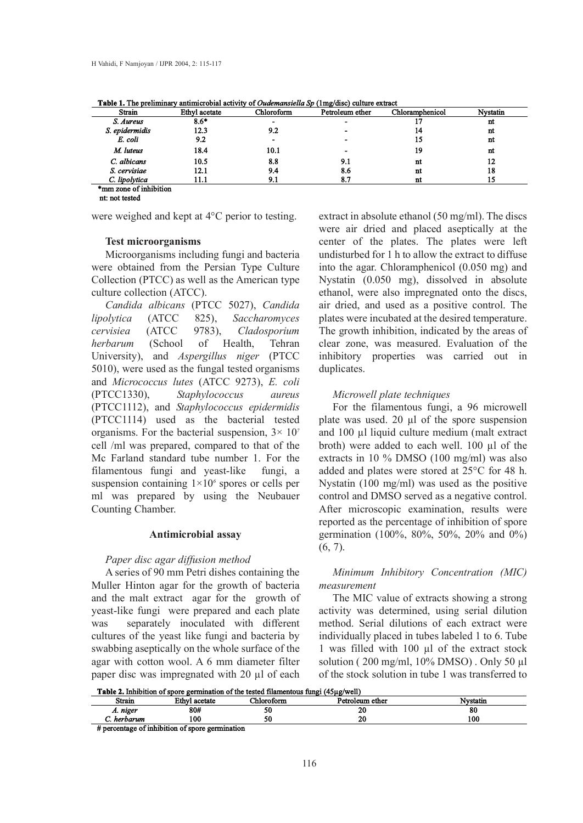| Strain                                                                                                        | Ethyl acetate | Chloroform | Petroleum ether | Chloramphenicol | <b>Nystatin</b> |
|---------------------------------------------------------------------------------------------------------------|---------------|------------|-----------------|-----------------|-----------------|
|                                                                                                               |               |            |                 |                 |                 |
| S. Aureus                                                                                                     | $8.6*$        |            |                 |                 | nt              |
| S. epidermidis                                                                                                | 12.3          | 9.2        |                 | 14              | nt              |
| E. coli                                                                                                       | 9.2           |            |                 | 15              | nt              |
| M. luteus                                                                                                     | 18.4          | 10.1       |                 | 19              | nt              |
| C. albicans                                                                                                   | 10.5          | 8.8        | 9.1             | nt              | 12              |
| S. cervisiae                                                                                                  | 12.1          | 9.4        | 8.6             | nt              | 18              |
| C. lipolytica                                                                                                 | 11.1          | 9.1        | 8.7             | nt              | 15              |
| than an and a film to the team of the film of the second state of the second state of the second state of the |               |            |                 |                 |                 |

| Table 1. The preliminary antimicrobial activity of Oudemansiella Sp (1mg/disc) culture extract |  |  |
|------------------------------------------------------------------------------------------------|--|--|
|                                                                                                |  |  |

**\*mm zone of inhibition** 

nt: not tested

were weighed and kept at 4°C perior to testing.

#### Test microorganisms

Microorganisms including fungi and bacteria were obtained from the Persian Type Culture Collection (PTCC) as well as the American type culture collection (ATCC).

*Candida albicans* (PTCC 5027), *Candida lipolytica* (ATCC 825), *Saccharomyces cervisiea* (ATCC 9783), *Cladosporium herbarum* (School of Health, Tehran University), and *Aspergillus niger* (PTCC 5010), were used as the fungal tested organisms and *Micrococcus lutes* (ATCC 9273), *E. coli* (PTCC1330), *Staphylococcus aureus* (PTCC1112), and *Staphylococcus epidermidis* (PTCC1114) used as the bacterial tested organisms. For the bacterial suspension, 3× 10*<sup>7</sup>* cell /ml was prepared, compared to that of the Mc Farland standard tube number 1. For the filamentous fungi and yeast-like fungi, a suspension containing 1×10*<sup>6</sup>* spores or cells per ml was prepared by using the Neubauer Counting Chamber.

#### Antimicrobial assay

# *Paper disc agar diffusion method*

A series of 90 mm Petri dishes containing the Muller Hinton agar for the growth of bacteria and the malt extract agar for the growth of yeast-like fungi were prepared and each plate was separately inoculated with different cultures of the yeast like fungi and bacteria by swabbing aseptically on the whole surface of the agar with cotton wool. A 6 mm diameter filter paper disc was impregnated with 20 µl of each

extract in absolute ethanol (50 mg/ml). The discs were air dried and placed aseptically at the center of the plates. The plates were left undisturbed for 1 h to allow the extract to diffuse into the agar. Chloramphenicol (0.050 mg) and Nystatin (0.050 mg), dissolved in absolute ethanol, were also impregnated onto the discs, air dried, and used as a positive control. The plates were incubated at the desired temperature. The growth inhibition, indicated by the areas of clear zone, was measured. Evaluation of the inhibitory properties was carried out in duplicates.

## *Microwell plate techniques*

For the filamentous fungi, a 96 microwell plate was used. 20  $\mu$ l of the spore suspension and 100 µl liquid culture medium (malt extract broth) were added to each well. 100 µl of the extracts in 10 % DMSO (100 mg/ml) was also added and plates were stored at 25°C for 48 h. Nystatin (100 mg/ml) was used as the positive control and DMSO served as a negative control. After microscopic examination, results were reported as the percentage of inhibition of spore germination (100%, 80%, 50%, 20% and 0%) (6, 7).

*Minimum Inhibitory Concentration (MIC) measurement*

The MIC value of extracts showing a strong activity was determined, using serial dilution method. Serial dilutions of each extract were individually placed in tubes labeled 1 to 6. Tube 1 was filled with 100 µl of the extract stock solution ( 200 mg/ml, 10% DMSO) . Only 50 µl of the stock solution in tube 1 was transferred to

**Table 2.** Inhibition of spore germination of the tested filamentous fungi (45ug/well)

| TWOICER IMMORRANCE COMMUNISTICS CORRECTION CONTRACTORS THAT IN THE WORLD |               |                   |                 |                 |  |  |  |
|--------------------------------------------------------------------------|---------------|-------------------|-----------------|-----------------|--|--|--|
| Strain                                                                   | Ethyl acetate | <b>Thloroform</b> | Petroleum ether | <b>Ivstatin</b> |  |  |  |
| A. niger                                                                 | 80#           | 50                | 20              | 80              |  |  |  |
| C. herbarum                                                              | 100           | 50                | 20              | 100             |  |  |  |
|                                                                          |               |                   |                 |                 |  |  |  |

# percentage of inhibition of spore germination